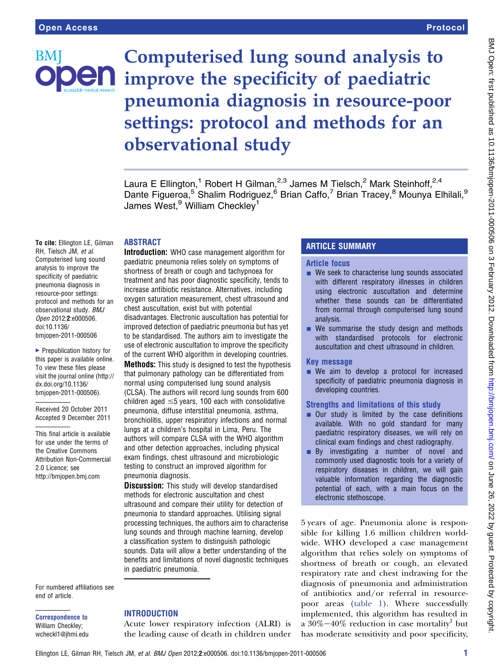BMI



Laura E Ellington,<sup>1</sup> Robert H Gilman,<sup>2,3</sup> James M Tielsch,<sup>2</sup> Mark Steinhoff,<sup>2,4</sup> Dante Figueroa,<sup>5</sup> Shalim Rodriguez,<sup>6</sup> Brian Caffo,<sup>7</sup> Brian Tracey,<sup>8</sup> Mounya Elhilali,<sup>9</sup> James West,<sup>9</sup> William Checkley<sup>1</sup>

### ABSTRACT

Introduction: WHO case management algorithm for paediatric pneumonia relies solely on symptoms of shortness of breath or cough and tachypnoea for treatment and has poor diagnostic specificity, tends to increase antibiotic resistance. Alternatives, including oxygen saturation measurement, chest ultrasound and

disadvantages. Electronic auscultation has potential for improved detection of paediatric pneumonia but has yet to be standardised. The authors aim to investigate the use of electronic auscultation to improve the specificity of the current WHO algorithm in developing countries. **Methods:** This study is designed to test the hypothesis that pulmonary pathology can be differentiated from normal using computerised lung sound analysis (CLSA). The authors will record lung sounds from 600 children aged  $\leq$ 5 years, 100 each with consolidative pneumonia, diffuse interstitial pneumonia, asthma, bronchiolitis, upper respiratory infections and normal lungs at a children's hospital in Lima, Peru. The authors will compare CLSA with the WHO algorithm and other detection approaches, including physical exam findings, chest ultrasound and microbiologic testing to construct an improved algorithm for

chest auscultation, exist but with potential

To cite: Ellington LE, Gilman RH, Tielsch JM, et al. Computerised lung sound analysis to improve the specificity of paediatric pneumonia diagnosis in resource-poor settings: protocol and methods for an observational study. BMJ Open 2012;2:e000506. doi:10.1136/ bmjopen-2011-000506

**Prepublication history for** this paper is available online. To view these files please visit the journal online (http:// dx.doi.org/10.1136/ bmjopen-2011-000506).

Received 20 October 2011 Accepted 9 December 2011

This final article is available for use under the terms of the Creative Commons Attribution Non-Commercial 2.0 Licence; see http://bmjopen.bmj.com

For numbered affiliations see end of article.

Correspondence to William Checkley; wcheckl1@jhmi.edu

# **INTRODUCTION**

in paediatric pneumonia.

pneumonia diagnosis.

Acute lower respiratory infection (ALRI) is the leading cause of death in children under

**Discussion:** This study will develop standardised methods for electronic auscultation and chest ultrasound and compare their utility for detection of pneumonia to standard approaches. Utilising signal processing techniques, the authors aim to characterise lung sounds and through machine learning, develop a classification system to distinguish pathologic sounds. Data will allow a better understanding of the benefits and limitations of novel diagnostic techniques

# ARTICLE SUMMARY

#### Article focus

- $\blacksquare$  We seek to characterise lung sounds associated with different respiratory illnesses in children using electronic auscultation and determine whether these sounds can be differentiated from normal through computerised lung sound analysis.
- $\blacksquare$  We summarise the study design and methods with standardised protocols for electronic auscultation and chest ultrasound in children.

#### Key message

 $\blacksquare$  We aim to develop a protocol for increased specificity of paediatric pneumonia diagnosis in developing countries.

# Strengths and limitations of this study

- **Our study is limited by the case definitions** available. With no gold standard for many paediatric respiratory diseases, we will rely on clinical exam findings and chest radiography.
- **By** investigating a number of novel and commonly used diagnostic tools for a variety of respiratory diseases in children, we will gain valuable information regarding the diagnostic potential of each, with a main focus on the electronic stethoscope.

5 years of age. Pneumonia alone is responsible for killing 1.6 million children worldwide. WHO developed a case management algorithm that relies solely on symptoms of shortness of breath or cough, an elevated respiratory rate and chest indrawing for the diagnosis of pneumonia and administration of antibiotics and/or referral in resourcepoor areas (table 1). Where successfully implemented, this algorithm has resulted in a  $30\% - 40\%$  reduction in case mortality<sup>1</sup> but has moderate sensitivity and poor specificity,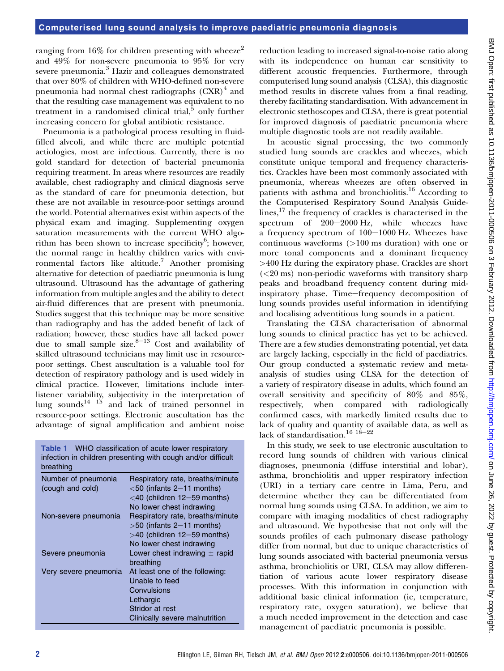ranging from  $16\%$  for children presenting with wheeze<sup>2</sup> and 49% for non-severe pneumonia to 95% for very severe pneumonia.<sup>3</sup> Hazir and colleagues demonstrated that over 80% of children with WHO-defined non-severe pneumonia had normal chest radiographs  $(CXR)^4$  and that the resulting case management was equivalent to no treatment in a randomised clinical trial, $5$  only further increasing concern for global antibiotic resistance.

Pneumonia is a pathological process resulting in fluidfilled alveoli, and while there are multiple potential aetiologies, most are infectious. Currently, there is no gold standard for detection of bacterial pneumonia requiring treatment. In areas where resources are readily available, chest radiography and clinical diagnosis serve as the standard of care for pneumonia detection, but these are not available in resource-poor settings around the world. Potential alternatives exist within aspects of the physical exam and imaging. Supplementing oxygen saturation measurements with the current WHO algorithm has been shown to increase specificity<sup>6</sup>; however, the normal range in healthy children varies with environmental factors like altitude.7 Another promising alternative for detection of paediatric pneumonia is lung ultrasound. Ultrasound has the advantage of gathering information from multiple angles and the ability to detect air-fluid differences that are present with pneumonia. Studies suggest that this technique may be more sensitive than radiography and has the added benefit of lack of radiation; however, these studies have all lacked power due to small sample size. $8-13$  Cost and availability of skilled ultrasound technicians may limit use in resourcepoor settings. Chest auscultation is a valuable tool for detection of respiratory pathology and is used widely in clinical practice. However, limitations include interlistener variability, subjectivity in the interpretation of lung sounds $14$   $15$  and lack of trained personnel in resource-poor settings. Electronic auscultation has the advantage of signal amplification and ambient noise

Table 1 WHO classification of acute lower respiratory infection in children presenting with cough and/or difficult breathing Number of pneumonia (cough and cold) Respiratory rate, breaths/minute  $<$ 50 (infants 2-11 months)  $<$ 40 (children 12-59 months) No lower chest indrawing Non-severe pneumonia Respiratory rate, breaths/minute  $>50$  (infants  $2-11$  months)  $>40$  (children 12-59 months) No lower chest indrawing Severe pneumonia Lower chest indrawing  $\pm$  rapid breathing Very severe pneumonia At least one of the following: Unable to feed **Convulsions** Lethargic Stridor at rest Clinically severe malnutrition

reduction leading to increased signal-to-noise ratio along with its independence on human ear sensitivity to different acoustic frequencies. Furthermore, through computerised lung sound analysis (CLSA), this diagnostic method results in discrete values from a final reading, thereby facilitating standardisation. With advancement in electronic stethoscopes and CLSA, there is great potential for improved diagnosis of paediatric pneumonia where multiple diagnostic tools are not readily available.

In acoustic signal processing, the two commonly studied lung sounds are crackles and wheezes, which constitute unique temporal and frequency characteristics. Crackles have been most commonly associated with pneumonia, whereas wheezes are often observed in patients with asthma and bronchiolitis.<sup>16</sup> According to the Computerised Respiratory Sound Analysis Guidelines, $^{17}$  the frequency of crackles is characterised in the spectrum of  $200-2000$  Hz, while wheezes have a frequency spectrum of  $100-1000$  Hz. Wheezes have continuous waveforms  $(>100 \text{ ms duration})$  with one or more tonal components and a dominant frequency >400 Hz during the expiratory phase. Crackles are short (<20 ms) non-periodic waveforms with transitory sharp peaks and broadband frequency content during midinspiratory phase. Time-frequency decomposition of lung sounds provides useful information in identifying and localising adventitious lung sounds in a patient.

Translating the CLSA characterisation of abnormal lung sounds to clinical practice has yet to be achieved. There are a few studies demonstrating potential, yet data are largely lacking, especially in the field of paediatrics. Our group conducted a systematic review and metaanalysis of studies using CLSA for the detection of a variety of respiratory disease in adults, which found an overall sensitivity and specificity of 80% and 85%, respectively, when compared with radiologically confirmed cases, with markedly limited results due to lack of quality and quantity of available data, as well as lack of standardisation.<sup>16 18–22</sup>

In this study, we seek to use electronic auscultation to record lung sounds of children with various clinical diagnoses, pneumonia (diffuse interstitial and lobar), asthma, bronchiolitis and upper respiratory infection (URI) in a tertiary care centre in Lima, Peru, and determine whether they can be differentiated from normal lung sounds using CLSA. In addition, we aim to compare with imaging modalities of chest radiography and ultrasound. We hypothesise that not only will the sounds profiles of each pulmonary disease pathology differ from normal, but due to unique characteristics of lung sounds associated with bacterial pneumonia versus asthma, bronchiolitis or URI, CLSA may allow differentiation of various acute lower respiratory disease processes. With this information in conjunction with additional basic clinical information (ie, temperature, respiratory rate, oxygen saturation), we believe that a much needed improvement in the detection and case management of paediatric pneumonia is possible.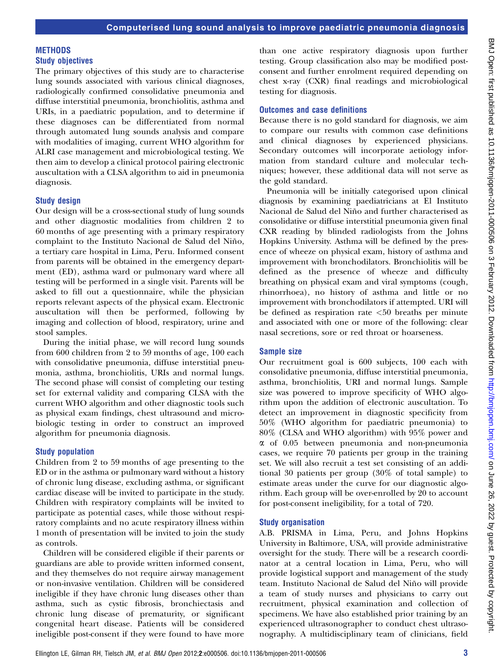### METHODS Study objectives

The primary objectives of this study are to characterise lung sounds associated with various clinical diagnoses, radiologically confirmed consolidative pneumonia and diffuse interstitial pneumonia, bronchiolitis, asthma and URIs, in a paediatric population, and to determine if these diagnoses can be differentiated from normal through automated lung sounds analysis and compare with modalities of imaging, current WHO algorithm for ALRI case management and microbiological testing. We then aim to develop a clinical protocol pairing electronic auscultation with a CLSA algorithm to aid in pneumonia diagnosis.

#### Study design

Our design will be a cross-sectional study of lung sounds and other diagnostic modalities from children 2 to 60 months of age presenting with a primary respiratory complaint to the Instituto Nacional de Salud del Niño, a tertiary care hospital in Lima, Peru. Informed consent from parents will be obtained in the emergency department (ED), asthma ward or pulmonary ward where all testing will be performed in a single visit. Parents will be asked to fill out a questionnaire, while the physician reports relevant aspects of the physical exam. Electronic auscultation will then be performed, following by imaging and collection of blood, respiratory, urine and stool samples.

During the initial phase, we will record lung sounds from 600 children from 2 to 59 months of age, 100 each with consolidative pneumonia, diffuse interstitial pneumonia, asthma, bronchiolitis, URIs and normal lungs. The second phase will consist of completing our testing set for external validity and comparing CLSA with the current WHO algorithm and other diagnostic tools such as physical exam findings, chest ultrasound and microbiologic testing in order to construct an improved algorithm for pneumonia diagnosis.

#### Study population

Children from 2 to 59 months of age presenting to the ED or in the asthma or pulmonary ward without a history of chronic lung disease, excluding asthma, or significant cardiac disease will be invited to participate in the study. Children with respiratory complaints will be invited to participate as potential cases, while those without respiratory complaints and no acute respiratory illness within 1 month of presentation will be invited to join the study as controls.

Children will be considered eligible if their parents or guardians are able to provide written informed consent, and they themselves do not require airway management or non-invasive ventilation. Children will be considered ineligible if they have chronic lung diseases other than asthma, such as cystic fibrosis, bronchiectasis and chronic lung disease of prematurity, or significant congenital heart disease. Patients will be considered ineligible post-consent if they were found to have more

than one active respiratory diagnosis upon further testing. Group classification also may be modified postconsent and further enrolment required depending on chest x-ray (CXR) final readings and microbiological testing for diagnosis.

#### Outcomes and case definitions

Because there is no gold standard for diagnosis, we aim to compare our results with common case definitions and clinical diagnoses by experienced physicians. Secondary outcomes will incorporate aetiology information from standard culture and molecular techniques; however, these additional data will not serve as the gold standard.

Pneumonia will be initially categorised upon clinical diagnosis by examining paediatricians at El Instituto Nacional de Salud del Niño and further characterised as consolidative or diffuse interstitial pneumonia given final CXR reading by blinded radiologists from the Johns Hopkins University. Asthma will be defined by the presence of wheeze on physical exam, history of asthma and improvement with bronchodilators. Bronchiolitis will be defined as the presence of wheeze and difficulty breathing on physical exam and viral symptoms (cough, rhinorrhoea), no history of asthma and little or no improvement with bronchodilators if attempted. URI will be defined as respiration rate  $\langle 50 \rangle$  breaths per minute and associated with one or more of the following: clear nasal secretions, sore or red throat or hoarseness.

#### Sample size

Our recruitment goal is 600 subjects, 100 each with consolidative pneumonia, diffuse interstitial pneumonia, asthma, bronchiolitis, URI and normal lungs. Sample size was powered to improve specificity of WHO algorithm upon the addition of electronic auscultation. To detect an improvement in diagnostic specificity from 50% (WHO algorithm for paediatric pneumonia) to 80% (CLSA and WHO algorithm) with 95% power and a of 0.05 between pneumonia and non-pneumonia cases, we require 70 patients per group in the training set. We will also recruit a test set consisting of an additional 30 patients per group (30% of total sample) to estimate areas under the curve for our diagnostic algorithm. Each group will be over-enrolled by 20 to account for post-consent ineligibility, for a total of 720.

#### Study organisation

A.B. PRISMA in Lima, Peru, and Johns Hopkins University in Baltimore, USA, will provide administrative oversight for the study. There will be a research coordinator at a central location in Lima, Peru, who will provide logistical support and management of the study team. Instituto Nacional de Salud del Niño will provide a team of study nurses and physicians to carry out recruitment, physical examination and collection of specimens. We have also established prior training by an experienced ultrasonographer to conduct chest ultrasonography. A multidisciplinary team of clinicians, field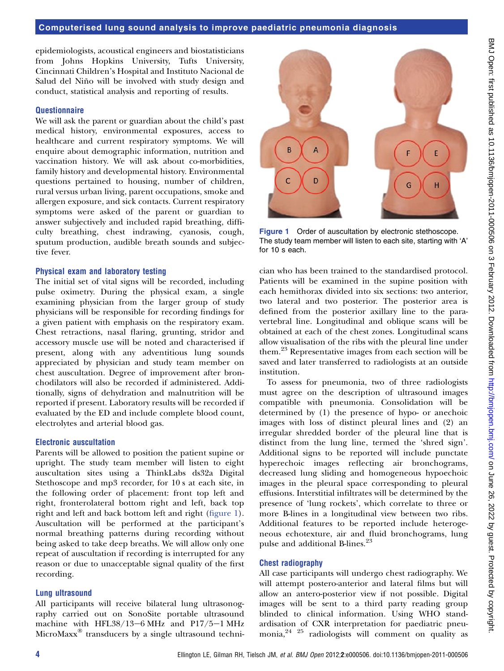epidemiologists, acoustical engineers and biostatisticians from Johns Hopkins University, Tufts University, Cincinnati Children's Hospital and Instituto Nacional de Salud del Niño will be involved with study design and conduct, statistical analysis and reporting of results.

#### **Questionnaire**

We will ask the parent or guardian about the child's past medical history, environmental exposures, access to healthcare and current respiratory symptoms. We will enquire about demographic information, nutrition and vaccination history. We will ask about co-morbidities, family history and developmental history. Environmental questions pertained to housing, number of children, rural versus urban living, parent occupations, smoke and allergen exposure, and sick contacts. Current respiratory symptoms were asked of the parent or guardian to answer subjectively and included rapid breathing, difficulty breathing, chest indrawing, cyanosis, cough, sputum production, audible breath sounds and subjective fever.

#### Physical exam and laboratory testing

The initial set of vital signs will be recorded, including pulse oximetry. During the physical exam, a single examining physician from the larger group of study physicians will be responsible for recording findings for a given patient with emphasis on the respiratory exam. Chest retractions, nasal flaring, grunting, stridor and accessory muscle use will be noted and characterised if present, along with any adventitious lung sounds appreciated by physician and study team member on chest auscultation. Degree of improvement after bronchodilators will also be recorded if administered. Additionally, signs of dehydration and malnutrition will be reported if present. Laboratory results will be recorded if evaluated by the ED and include complete blood count, electrolytes and arterial blood gas.

#### Electronic auscultation

Parents will be allowed to position the patient supine or upright. The study team member will listen to eight auscultation sites using a ThinkLabs ds32a Digital Stethoscope and mp3 recorder, for 10 s at each site, in the following order of placement: front top left and right, fronterolateral bottom right and left, back top right and left and back bottom left and right (figure 1). Auscultation will be performed at the participant's normal breathing patterns during recording without being asked to take deep breaths. We will allow only one repeat of auscultation if recording is interrupted for any reason or due to unacceptable signal quality of the first recording.

#### Lung ultrasound

All participants will receive bilateral lung ultrasonography carried out on SonoSite portable ultrasound machine with HFL38/13-6 MHz and P17/5-1 MHz MicroMax $x^{\circledR}$  transducers by a single ultrasound techni-



Figure 1 Order of auscultation by electronic stethoscope. The study team member will listen to each site, starting with 'A' for 10 s each.

cian who has been trained to the standardised protocol. Patients will be examined in the supine position with each hemithorax divided into six sections: two anterior, two lateral and two posterior. The posterior area is defined from the posterior axillary line to the paravertebral line. Longitudinal and oblique scans will be obtained at each of the chest zones. Longitudinal scans allow visualisation of the ribs with the pleural line under them.23 Representative images from each section will be saved and later transferred to radiologists at an outside institution.

To assess for pneumonia, two of three radiologists must agree on the description of ultrasound images compatible with pneumonia. Consolidation will be determined by (1) the presence of hypo- or anechoic images with loss of distinct pleural lines and (2) an irregular shredded border of the pleural line that is distinct from the lung line, termed the 'shred sign'. Additional signs to be reported will include punctate hyperechoic images reflecting air bronchograms, decreased lung sliding and homogeneous hypoechoic images in the pleural space corresponding to pleural effusions. Interstitial infiltrates will be determined by the presence of 'lung rockets', which correlate to three or more B-lines in a longitudinal view between two ribs. Additional features to be reported include heterogeneous echotexture, air and fluid bronchograms, lung pulse and additional B-lines.<sup>23</sup>

#### Chest radiography

All case participants will undergo chest radiography. We will attempt postero-anterior and lateral films but will allow an antero-posterior view if not possible. Digital images will be sent to a third party reading group blinded to clinical information. Using WHO standardisation of CXR interpretation for paediatric pneumonia,  $24 \times 25$  radiologists will comment on quality as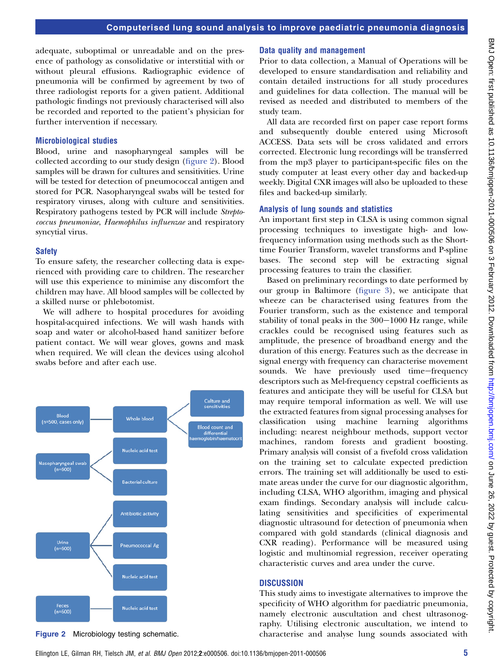adequate, suboptimal or unreadable and on the presence of pathology as consolidative or interstitial with or without pleural effusions. Radiographic evidence of pneumonia will be confirmed by agreement by two of three radiologist reports for a given patient. Additional pathologic findings not previously characterised will also be recorded and reported to the patient's physician for further intervention if necessary.

#### Microbiological studies

Blood, urine and nasopharyngeal samples will be collected according to our study design (figure 2). Blood samples will be drawn for cultures and sensitivities. Urine will be tested for detection of pneumococcal antigen and stored for PCR. Nasopharyngeal swabs will be tested for respiratory viruses, along with culture and sensitivities. Respiratory pathogens tested by PCR will include Streptococcus pneumoniae, Haemophilus influenzae and respiratory syncytial virus.

#### **Safety**

To ensure safety, the researcher collecting data is experienced with providing care to children. The researcher will use this experience to minimise any discomfort the children may have. All blood samples will be collected by a skilled nurse or phlebotomist.

We will adhere to hospital procedures for avoiding hospital-acquired infections. We will wash hands with soap and water or alcohol-based hand sanitizer before patient contact. We will wear gloves, gowns and mask when required. We will clean the devices using alcohol swabs before and after each use.



#### Data quality and management

Prior to data collection, a Manual of Operations will be developed to ensure standardisation and reliability and contain detailed instructions for all study procedures and guidelines for data collection. The manual will be revised as needed and distributed to members of the study team.

All data are recorded first on paper case report forms and subsequently double entered using Microsoft ACCESS. Data sets will be cross validated and errors corrected. Electronic lung recordings will be transferred from the mp3 player to participant-specific files on the study computer at least every other day and backed-up weekly. Digital CXR images will also be uploaded to these files and backed-up similarly.

#### Analysis of lung sounds and statistics

An important first step in CLSA is using common signal processing techniques to investigate high- and lowfrequency information using methods such as the Shorttime Fourier Transform, wavelet transforms and P-spline bases. The second step will be extracting signal processing features to train the classifier.

Based on preliminary recordings to date performed by our group in Baltimore (figure 3), we anticipate that wheeze can be characterised using features from the Fourier transform, such as the existence and temporal stability of tonal peaks in the  $300-1000$  Hz range, while crackles could be recognised using features such as amplitude, the presence of broadband energy and the duration of this energy. Features such as the decrease in signal energy with frequency can characterise movement sounds. We have previously used time-frequency descriptors such as Mel-frequency cepstral coefficients as features and anticipate they will be useful for CLSA but may require temporal information as well. We will use the extracted features from signal processing analyses for classification using machine learning algorithms including: nearest neighbour methods, support vector machines, random forests and gradient boosting. Primary analysis will consist of a fivefold cross validation on the training set to calculate expected prediction errors. The training set will additionally be used to estimate areas under the curve for our diagnostic algorithm, including CLSA, WHO algorithm, imaging and physical exam findings. Secondary analysis will include calculating sensitivities and specificities of experimental diagnostic ultrasound for detection of pneumonia when compared with gold standards (clinical diagnosis and CXR reading). Performance will be measured using logistic and multinomial regression, receiver operating characteristic curves and area under the curve.

#### **DISCUSSION**

This study aims to investigate alternatives to improve the specificity of WHO algorithm for paediatric pneumonia, namely electronic auscultation and chest ultrasonography. Utilising electronic auscultation, we intend to Figure 2 Microbiology testing schematic. characterise and analyse lung sounds associated with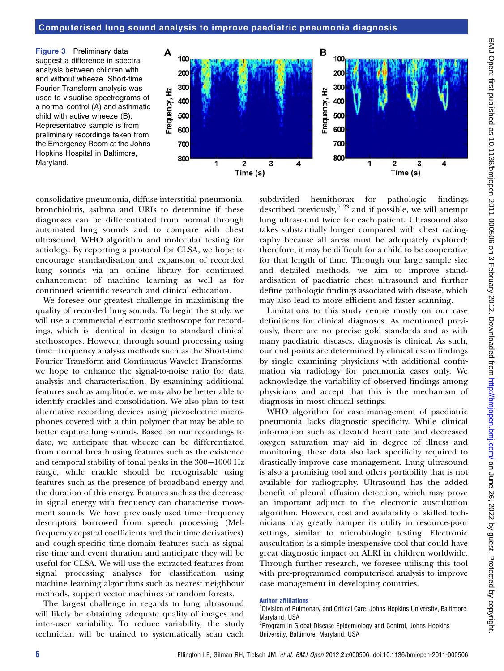Figure 3 Preliminary data suggest a difference in spectral analysis between children with and without wheeze. Short-time Fourier Transform analysis was used to visualise spectrograms of a normal control (A) and asthmatic child with active wheeze (B). Representative sample is from preliminary recordings taken from the Emergency Room at the Johns Hopkins Hospital in Baltimore, Maryland.



consolidative pneumonia, diffuse interstitial pneumonia, bronchiolitis, asthma and URIs to determine if these diagnoses can be differentiated from normal through automated lung sounds and to compare with chest ultrasound, WHO algorithm and molecular testing for aetiology. By reporting a protocol for CLSA, we hope to encourage standardisation and expansion of recorded lung sounds via an online library for continued enhancement of machine learning as well as for continued scientific research and clinical education.

We foresee our greatest challenge in maximising the quality of recorded lung sounds. To begin the study, we will use a commercial electronic stethoscope for recordings, which is identical in design to standard clinical stethoscopes. However, through sound processing using time-frequency analysis methods such as the Short-time Fourier Transform and Continuous Wavelet Transforms, we hope to enhance the signal-to-noise ratio for data analysis and characterisation. By examining additional features such as amplitude, we may also be better able to identify crackles and consolidation. We also plan to test alternative recording devices using piezoelectric microphones covered with a thin polymer that may be able to better capture lung sounds. Based on our recordings to date, we anticipate that wheeze can be differentiated from normal breath using features such as the existence and temporal stability of tonal peaks in the  $300-1000$  Hz range, while crackle should be recognisable using features such as the presence of broadband energy and the duration of this energy. Features such as the decrease in signal energy with frequency can characterise movement sounds. We have previously used time-frequency descriptors borrowed from speech processing (Melfrequency cepstral coefficients and their time derivatives) and cough-specific time-domain features such as signal rise time and event duration and anticipate they will be useful for CLSA. We will use the extracted features from signal processing analyses for classification using machine learning algorithms such as nearest neighbour methods, support vector machines or random forests.

The largest challenge in regards to lung ultrasound will likely be obtaining adequate quality of images and inter-user variability. To reduce variability, the study technician will be trained to systematically scan each

subdivided hemithorax for pathologic findings described previously,  $9^{9}$  23 and if possible, we will attempt lung ultrasound twice for each patient. Ultrasound also takes substantially longer compared with chest radiography because all areas must be adequately explored; therefore, it may be difficult for a child to be cooperative for that length of time. Through our large sample size and detailed methods, we aim to improve standardisation of paediatric chest ultrasound and further define pathologic findings associated with disease, which may also lead to more efficient and faster scanning.

Limitations to this study centre mostly on our case definitions for clinical diagnoses. As mentioned previously, there are no precise gold standards and as with many paediatric diseases, diagnosis is clinical. As such, our end points are determined by clinical exam findings by single examining physicians with additional confirmation via radiology for pneumonia cases only. We acknowledge the variability of observed findings among physicians and accept that this is the mechanism of diagnosis in most clinical settings.

WHO algorithm for case management of paediatric pneumonia lacks diagnostic specificity. While clinical information such as elevated heart rate and decreased oxygen saturation may aid in degree of illness and monitoring, these data also lack specificity required to drastically improve case management. Lung ultrasound is also a promising tool and offers portability that is not available for radiography. Ultrasound has the added benefit of pleural effusion detection, which may prove an important adjunct to the electronic auscultation algorithm. However, cost and availability of skilled technicians may greatly hamper its utility in resource-poor settings, similar to microbiologic testing. Electronic auscultation is a simple inexpensive tool that could have great diagnostic impact on ALRI in children worldwide. Through further research, we foresee utilising this tool with pre-programmed computerised analysis to improve case management in developing countries.

#### Author affiliations

<sup>1</sup> Division of Pulmonary and Critical Care, Johns Hopkins University, Baltimore, Maryland, USA

<sup>2</sup>Program in Global Disease Epidemiology and Control, Johns Hopkins University, Baltimore, Maryland, USA